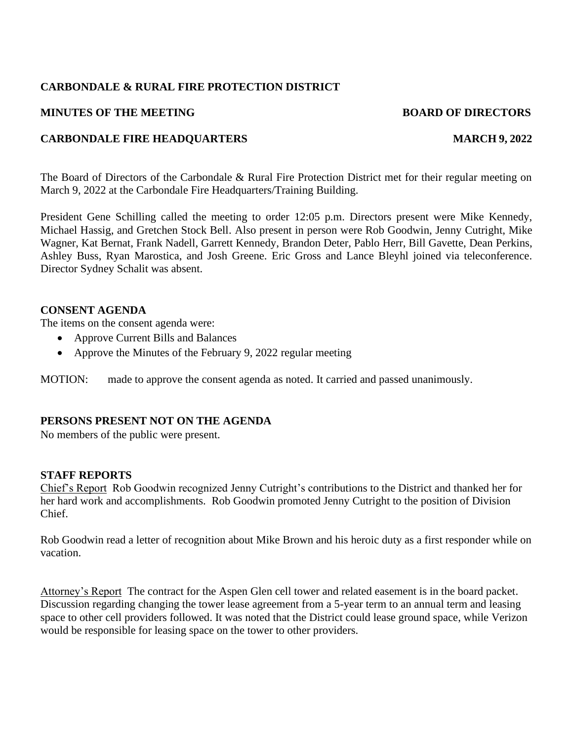## **CARBONDALE & RURAL FIRE PROTECTION DISTRICT**

#### **MINUTES OF THE MEETING BOARD OF DIRECTORS**

### **CARBONDALE FIRE HEADQUARTERS** MARCH 9, 2022

The Board of Directors of the Carbondale & Rural Fire Protection District met for their regular meeting on March 9, 2022 at the Carbondale Fire Headquarters/Training Building.

President Gene Schilling called the meeting to order 12:05 p.m. Directors present were Mike Kennedy, Michael Hassig, and Gretchen Stock Bell. Also present in person were Rob Goodwin, Jenny Cutright, Mike Wagner, Kat Bernat, Frank Nadell, Garrett Kennedy, Brandon Deter, Pablo Herr, Bill Gavette, Dean Perkins, Ashley Buss, Ryan Marostica, and Josh Greene. Eric Gross and Lance Bleyhl joined via teleconference. Director Sydney Schalit was absent.

#### **CONSENT AGENDA**

The items on the consent agenda were:

- Approve Current Bills and Balances
- Approve the Minutes of the February 9, 2022 regular meeting

MOTION: made to approve the consent agenda as noted. It carried and passed unanimously.

# **PERSONS PRESENT NOT ON THE AGENDA**

No members of the public were present.

#### **STAFF REPORTS**

Chief's Report Rob Goodwin recognized Jenny Cutright's contributions to the District and thanked her for her hard work and accomplishments. Rob Goodwin promoted Jenny Cutright to the position of Division Chief.

Rob Goodwin read a letter of recognition about Mike Brown and his heroic duty as a first responder while on vacation.

Attorney's Report The contract for the Aspen Glen cell tower and related easement is in the board packet. Discussion regarding changing the tower lease agreement from a 5-year term to an annual term and leasing space to other cell providers followed. It was noted that the District could lease ground space, while Verizon would be responsible for leasing space on the tower to other providers.